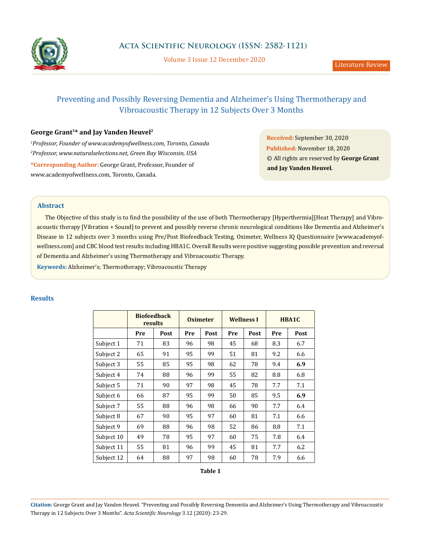

Volume 3 Issue 12 December 2020

# Preventing and Possibly Reversing Dementia and Alzheimer's Using Thermotherapy and Vibroacoustic Therapy in 12 Subjects Over 3 Months

# **George Grant1\* and Jay Vanden Heuvel2**

*1 Professor, Founder of www.academyofwellness.com, Toronto, Canada 2 Professor, www.naturalselections.net, Green Bay Wisconsin, USA*

**\*Corresponding Author:** George Grant, Professor, Founder of www.academyofwellness.com, Toronto, Canada.

**Received:** September 30, 2020 **Published:** November 18, 2020 © All rights are reserved by **George Grant and Jay Vanden Heuvel***.*

# **Abstract**

The Objective of this study is to find the possibility of the use of both Thermotherapy [Hyperthermia][Heat Therapy] and Vibroacoustic therapy [Vibration + Sound] to prevent and possibly reverse chronic neurological conditions like Dementia and Alzheimer's Disease in 12 subjects over 3 months using Pre/Post Biofeedback Testing, Oximeter, Wellness IQ Questionnaire [www.academyofwellness.com] and CBC blood test results including HBA1C. Overall Results were positive suggesting possible prevention and reversal of Dementia and Alzheimer's using Thermotherapy and Vibroacoustic Therapy.

**Keywords:** Alzheimer's; Thermotherapy; Vibroacoustic Therapy

# **Results**

|            | <b>Biofeedback</b><br>results |      | <b>Oximeter</b> |      | <b>Wellness I</b> |      | HBA1C |      |
|------------|-------------------------------|------|-----------------|------|-------------------|------|-------|------|
|            | Pre                           | Post | Pre             | Post | Pre               | Post | Pre   | Post |
| Subject 1  | 71                            | 83   | 96              | 98   | 45                | 68   | 8.3   | 6.7  |
| Subject 2  | 65                            | 91   | 95              | 99   | 51                | 81   | 9.2   | 6.6  |
| Subject 3  | 55                            | 85   | 95              | 98   | 62                | 78   | 9.4   | 6.9  |
| Subject 4  | 74                            | 88   | 96              | 99   | 55                | 82   | 8.8   | 6.8  |
| Subject 5  | 71                            | 90   | 97              | 98   | 45                | 78   | 7.7   | 7.1  |
| Subject 6  | 66                            | 87   | 95              | 99   | 50                | 85   | 9.5   | 6.9  |
| Subject 7  | 55                            | 88   | 96              | 98   | 66                | 90   | 7.7   | 6.4  |
| Subject 8  | 67                            | 90   | 95              | 97   | 60                | 81   | 7.1   | 6.6  |
| Subject 9  | 69                            | 88   | 96              | 98   | 52                | 86   | 8.8   | 7.1  |
| Subject 10 | 49                            | 78   | 95              | 97   | 60                | 75   | 7.8   | 6.4  |
| Subject 11 | 55                            | 81   | 96              | 99   | 45                | 81   | 7.7   | 6.2  |
| Subject 12 | 64                            | 88   | 97              | 98   | 60                | 78   | 7.9   | 6.6  |

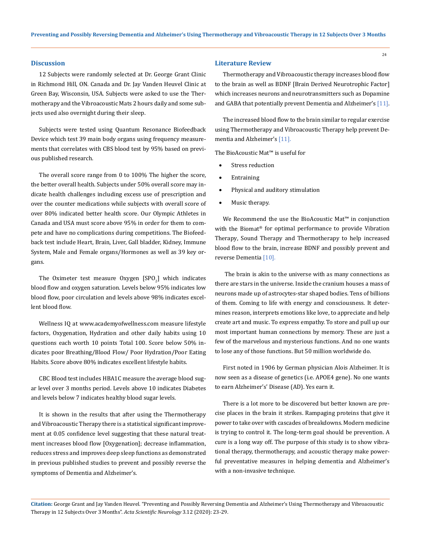#### **Discussion**

12 Subjects were randomly selected at Dr. George Grant Clinic in Richmond Hill, ON. Canada and Dr. Jay Vanden Heuvel Clinic at Green Bay, Wisconsin, USA. Subjects were asked to use the Thermotherapy and the Vibroacoustic Mats 2 hours daily and some subjects used also overnight during their sleep.

Subjects were tested using Quantum Resonance Biofeedback Device which test 39 main body organs using frequency measurements that correlates with CBS blood test by 95% based on previous published research.

The overall score range from 0 to 100% The higher the score, the better overall health. Subjects under 50% overall score may indicate health challenges including excess use of prescription and over the counter medications while subjects with overall score of over 80% indicated better health score. Our Olympic Athletes in Canada and USA must score above 95% in order for them to compete and have no complications during competitions. The Biofeedback test include Heart, Brain, Liver, Gall bladder, Kidney, Immune System, Male and Female organs/Hormones as well as 39 key organs.

The Oximeter test measure Oxygen  $[SPO<sub>2</sub>]$  which indicates blood flow and oxygen saturation. Levels below 95% indicates low blood flow, poor circulation and levels above 98% indicates excellent blood flow.

Wellness IQ at [www.academyofwellness.com](http://www.academyofwellness.com) measure lifestyle factors, Oxygenation, Hydration and other daily habits using 10 questions each worth 10 points Total 100. Score below 50% indicates poor Breathing/Blood Flow/ Poor Hydration/Poor Eating Habits. Score above 80% indicates excellent lifestyle habits.

CBC Blood test includes HBA1C measure the average blood sugar level over 3 months period. Levels above 10 indicates Diabetes and levels below 7 indicates healthy blood sugar levels.

It is shown in the results that after using the Thermotherapy and Vibroacoustic Therapy there is a statistical significant improvement at 0.05 confidence level suggesting that these natural treatment increases blood flow [Oxygenation]; decrease inflammation, reduces stress and improves deep sleep functions as demonstrated in previous published studies to prevent and possibly reverse the symptoms of Dementia and Alzheimer's.

#### **Literature Review**

Thermotherapy and Vibroacoustic therapy increases blood flow to the brain as well as BDNF [Brain Derived Neurotrophic Factor] which increases neurons and neurotransmitters such as Dopamine and GABA that potentially prevent Dementia and Alzheimer's [11].

24

The increased blood flow to the brain similar to regular exercise using Thermotherapy and Vibroacoustic Therapy help prevent Dementia and Alzheimer's [11].

The BioAcoustic Mat™ is useful for

- Stress reduction
- **Entraining**
- Physical and auditory stimulation
- Music therapy.

We Recommend the use the BioAcoustic Mat™ in conjunction with the Biomat® for optimal performance to provide Vibration Therapy, Sound Therapy and Thermotherapy to help increased blood flow to the brain, increase BDNF and possibly prevent and reverse Dementia [10].

 The brain is akin to the universe with as many connections as there are stars in the universe. Inside the cranium houses a mass of neurons made up of astrocytes-star shaped bodies. Tens of billions of them. Coming to life with energy and consciousness. It determines reason, interprets emotions like love, to appreciate and help create art and music. To express empathy. To store and pull up our most important human connections by memory. These are just a few of the marvelous and mysterious functions. And no one wants to lose any of those functions. But 50 million worldwide do.

First noted in 1906 by German physician Alois Alzheimer. It is now seen as a disease of genetics (i.e. APOE4 gene). No one wants to earn Alzheimer's' Disease (AD). Yes earn it.

There is a lot more to be discovered but better known are precise places in the brain it strikes. Rampaging proteins that give it power to take over with cascades of breakdowns. Modern medicine is trying to control it. The long-term goal should be prevention. A cure is a long way off. The purpose of this study is to show vibrational therapy, thermotherapy, and acoustic therapy make powerful preventative measures in helping dementia and Alzheimer's with a non-invasive technique.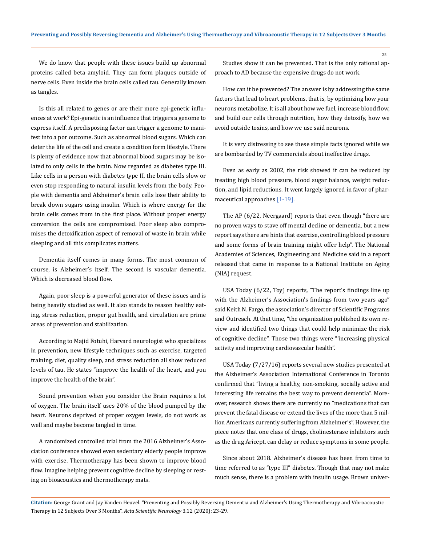We do know that people with these issues build up abnormal proteins called beta amyloid. They can form plaques outside of nerve cells. Even inside the brain cells called tau. Generally known as tangles.

Is this all related to genes or are their more epi-genetic influences at work? Epi-genetic is an influence that triggers a genome to express itself. A predisposing factor can trigger a genome to manifest into a por outcome. Such as abnormal blood sugars. Which can deter the life of the cell and create a condition form lifestyle. There is plenty of evidence now that abnormal blood sugars may be isolated to only cells in the brain. Now regarded as diabetes type III. Like cells in a person with diabetes type II, the brain cells slow or even stop responding to natural insulin levels from the body. People with dementia and Alzheimer's brain cells lose their ability to break down sugars using insulin. Which is where energy for the brain cells comes from in the first place. Without proper energy conversion the cells are compromised. Poor sleep also compromises the detoxification aspect of removal of waste in brain while sleeping and all this complicates matters.

Dementia itself comes in many forms. The most common of course, is Alzheimer's itself. The second is vascular dementia. Which is decreased blood flow.

Again, poor sleep is a powerful generator of these issues and is being heavily studied as well. It also stands to reason healthy eating, stress reduction, proper gut health, and circulation are prime areas of prevention and stabilization.

According to Majid Fotuhi, Harvard neurologist who specializes in prevention, new lifestyle techniques such as exercise, targeted training, diet, quality sleep, and stress reduction all show reduced levels of tau. He states "improve the health of the heart, and you improve the health of the brain".

Sound prevention when you consider the Brain requires a lot of oxygen. The brain itself uses 20% of the blood pumped by the heart. Neurons deprived of proper oxygen levels, do not work as well and maybe become tangled in time.

A randomized controlled trial from the 2016 Alzheimer's Association conference showed even sedentary elderly people improve with exercise. Thermotherapy has been shown to improve blood flow. Imagine helping prevent cognitive decline by sleeping or resting on bioacoustics and thermotherapy mats.

Studies show it can be prevented. That is the only rational approach to AD because the expensive drugs do not work.

How can it be prevented? The answer is by addressing the same factors that lead to heart problems, that is, by optimizing how your neurons metabolize. It is all about how we fuel, increase blood flow, and build our cells through nutrition, how they detoxify, how we avoid outside toxins, and how we use said neurons.

It is very distressing to see these simple facts ignored while we are bombarded by TV commercials about ineffective drugs.

Even as early as 2002, the risk showed it can be reduced by treating high blood pressure, blood sugar balance, weight reduction, and lipid reductions. It went largely ignored in favor of pharmaceutical approaches [1-19].

The AP (6/22, Neergaard) reports that even though "there are no proven ways to stave off mental decline or dementia, but a new report says there are hints that exercise, controlling blood pressure and some forms of brain training might offer help". The National Academies of Sciences, Engineering and Medicine said in a report released that came in response to a National Institute on Aging (NIA) request.

USA Today (6/22, Toy) reports, "The report's findings line up with the Alzheimer's Association's findings from two years ago" said Keith N. Fargo, the association's director of Scientific Programs and Outreach. At that time, "the organization published its own review and identified two things that could help minimize the risk of cognitive decline". Those two things were "'increasing physical activity and improving cardiovascular health".

USA Today (7/27/16) reports several new studies presented at the Alzheimer's Association International Conference in Toronto confirmed that "living a healthy, non-smoking, socially active and interesting life remains the best way to prevent dementia". Moreover, research shows there are currently no "medications that can prevent the fatal disease or extend the lives of the more than 5 million Americans currently suffering from Alzheimer's". However, the piece notes that one class of drugs, cholinesterase inhibitors such as the drug Aricept, can delay or reduce symptoms in some people.

Since about 2018. Alzheimer's disease has been from time to time referred to as "type III" diabetes. Though that may not make much sense, there is a problem with insulin usage. Brown univer-

25

**Citation:** George Grant and Jay Vanden Heuvel*.* "Preventing and Possibly Reversing Dementia and Alzheimer's Using Thermotherapy and Vibroacoustic Therapy in 12 Subjects Over 3 Months". *Acta Scientific Neurology* 3.12 (2020): 23-29.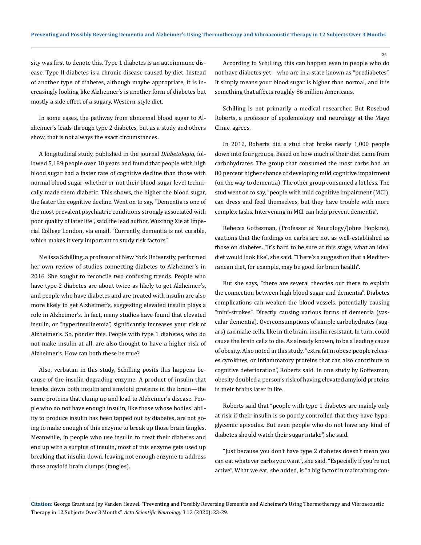sity was first to denote this. Type 1 diabetes is an autoimmune disease. Type II diabetes is a chronic disease caused by diet. Instead of another type of diabetes, although maybe appropriate, it is increasingly looking like Alzheimer's is another form of diabetes but mostly a side effect of a sugary, Western-style diet.

In some cases, the pathway from abnormal blood sugar to Alzheimer's leads through type 2 diabetes, but as a study and others show, that is not always the exact circumstances.

A longitudinal study, published in the journal *Diabetologia*, followed 5,189 people over 10 years and found that people with high blood sugar had a faster rate of cognitive decline than those with normal blood sugar-whether or not their blood-sugar level technically made them diabetic. This shows, the higher the blood sugar, the faster the cognitive decline. Went on to say, "Dementia is one of the most prevalent psychiatric conditions strongly associated with poor quality of later life", said the lead author, Wuxiang Xie at Imperial College London, via email. "Currently, dementia is not curable, which makes it very important to study risk factors".

Melissa Schilling, a professor at New York University, performed her own review of studies connecting diabetes to Alzheimer's in 2016. She sought to reconcile two confusing trends. People who have type 2 diabetes are about twice as likely to get Alzheimer's, and people who have diabetes and are treated with insulin are also more likely to get Alzheimer's, suggesting elevated insulin plays a role in Alzheimer's. In fact, many studies have found that elevated insulin, or "hyperinsulinemia", significantly increases your risk of Alzheimer's. So, ponder this. People with type 1 diabetes, who do not make insulin at all, are also thought to have a higher risk of Alzheimer's. How can both these be true?

Also, verbatim in this study, Schilling posits this happens because of the insulin-degrading enzyme. A product of insulin that breaks down both insulin and amyloid proteins in the brain—the same proteins that clump up and lead to Alzheimer's disease. People who do not have enough insulin, like those whose bodies' ability to produce insulin has been tapped out by diabetes, are not going to make enough of this enzyme to break up those brain tangles. Meanwhile, in people who use insulin to treat their diabetes and end up with a surplus of insulin, most of this enzyme gets used up breaking that insulin down, leaving not enough enzyme to address those amyloid brain clumps (tangles).

According to Schilling, this can happen even in people who do not have diabetes yet—who are in a state known as "prediabetes". It simply means your blood sugar is higher than normal, and it is something that affects roughly 86 million Americans.

Schilling is not primarily a medical researcher. But Rosebud Roberts, a professor of epidemiology and neurology at the Mayo Clinic, agrees.

In 2012, Roberts did a stud that broke nearly 1,000 people down into four groups. Based on how much of their diet came from carbohydrates. The group that consumed the most carbs had an 80 percent higher chance of developing mild cognitive impairment (on the way to dementia). The other group consumed a lot less. The stud went on to say, "people with mild cognitive impairment (MCI), can dress and feed themselves, but they have trouble with more complex tasks. Intervening in MCI can help prevent dementia".

Rebecca Gottesman, (Professor of Neurology/Johns Hopkins), cautions that the findings on carbs are not as well-established as those on diabetes. "It's hard to be sure at this stage, what an idea' diet would look like", she said. "There's a suggestion that a Mediterranean diet, for example, may be good for brain health".

But she says, "there are several theories out there to explain the connection between high blood sugar and dementia". Diabetes complications can weaken the blood vessels, potentially causing "mini-strokes". Directly causing various forms of dementia (vascular dementia). Overconsumptions of simple carbohydrates (sugars) can make cells, like in the brain, insulin resistant. In turn, could cause the brain cells to die. As already known, to be a leading cause of obesity. Also noted in this study, "extra fat in obese people releases cytokines, or inflammatory proteins that can also contribute to cognitive deterioration", Roberts said. In one study by Gottesman, obesity doubled a person's risk of having elevated amyloid proteins in their brains later in life.

Roberts said that "people with type 1 diabetes are mainly only at risk if their insulin is so poorly controlled that they have hypoglycemic episodes. But even people who do not have any kind of diabetes should watch their sugar intake", she said.

"Just because you don't have type 2 diabetes doesn't mean you can eat whatever carbs you want", she said. "Especially if you're not active". What we eat, she added, is "a big factor in maintaining con-

26

**Citation:** George Grant and Jay Vanden Heuvel*.* "Preventing and Possibly Reversing Dementia and Alzheimer's Using Thermotherapy and Vibroacoustic Therapy in 12 Subjects Over 3 Months". *Acta Scientific Neurology* 3.12 (2020): 23-29.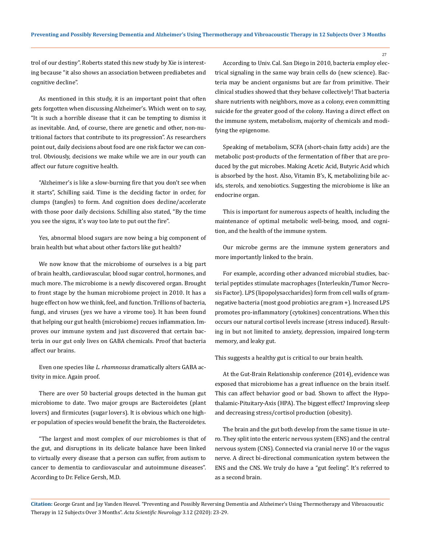27

trol of our destiny". Roberts stated this new study by Xie is interesting because "it also shows an association between prediabetes and cognitive decline".

As mentioned in this study, it is an important point that often gets forgotten when discussing Alzheimer's. Which went on to say, "It is such a horrible disease that it can be tempting to dismiss it as inevitable. And, of course, there are genetic and other, non-nutritional factors that contribute to its progression". As researchers point out, daily decisions about food are one risk factor we can control. Obviously, decisions we make while we are in our youth can affect our future cognitive health.

"Alzheimer's is like a slow-burning fire that you don't see when it starts", Schilling said. Time is the deciding factor in order, for clumps (tangles) to form. And cognition does decline/accelerate with those poor daily decisions. Schilling also stated, "By the time you see the signs, it's way too late to put out the fire".

Yes, abnormal blood sugars are now being a big component of brain health but what about other factors like gut health?

We now know that the microbiome of ourselves is a big part of brain health, cardiovascular, blood sugar control, hormones, and much more. The microbiome is a newly discovered organ. Brought to front stage by the human microbiome project in 2010. It has a huge effect on how we think, feel, and function. Trillions of bacteria, fungi, and viruses (yes we have a virome too). It has been found that helping our gut health (microbiome) recues inflammation. Improves our immune system and just discovered that certain bacteria in our gut only lives on GABA chemicals. Proof that bacteria affect our brains.

Even one species like *L. rhamnosus* dramatically alters GABA activity in mice. Again proof.

There are over 50 bacterial groups detected in the human gut microbiome to date. Two major groups are Bacteroidetes (plant lovers) and firmicutes (sugar lovers). It is obvious which one higher population of species would benefit the brain, the Bacteroidetes.

"The largest and most complex of our microbiomes is that of the gut, and disruptions in its delicate balance have been linked to virtually every disease that a person can suffer, from autism to cancer to dementia to cardiovascular and autoimmune diseases". According to Dr. Felice Gersh, M.D.

According to Univ. Cal. San Diego in 2010, bacteria employ electrical signaling in the same way brain cells do (new science). Bacteria may be ancient organisms but are far from primitive. Their clinical studies showed that they behave collectively! That bacteria share nutrients with neighbors, move as a colony, even committing suicide for the greater good of the colony. Having a direct effect on the immune system, metabolism, majority of chemicals and modifying the epigenome.

Speaking of metabolism, SCFA (short-chain fatty acids) are the metabolic post-products of the fermentation of fiber that are produced by the gut microbes. Making Acetic Acid, Butyric Acid which is absorbed by the host. Also, Vitamin B's, K, metabolizing bile acids, sterols, and xenobiotics. Suggesting the microbiome is like an endocrine organ.

This is important for numerous aspects of health, including the maintenance of optimal metabolic well-being, mood, and cognition, and the health of the immune system.

Our microbe germs are the immune system generators and more importantly linked to the brain.

For example, according other advanced microbial studies, bacterial peptides stimulate macrophages (Interleukin/Tumor Necrosis Factor). LPS (lipopolysaccharides) form from cell walls of gramnegative bacteria (most good probiotics are gram +). Increased LPS promotes pro-inflammatory (cytokines) concentrations. When this occurs our natural cortisol levels increase (stress induced). Resulting in but not limited to anxiety, depression, impaired long-term memory, and leaky gut.

This suggests a healthy gut is critical to our brain health.

At the Gut-Brain Relationship conference (2014), evidence was exposed that microbiome has a great influence on the brain itself. This can affect behavior good or bad. Shown to affect the Hypothalamic-Pituitary-Axis (HPA). The biggest effect? Improving sleep and decreasing stress/cortisol production (obesity).

The brain and the gut both develop from the same tissue in utero. They split into the enteric nervous system (ENS) and the central nervous system (CNS). Connected via cranial nerve 10 or the vagus nerve. A direct bi-directional communication system between the ENS and the CNS. We truly do have a "gut feeling". It's referred to as a second brain.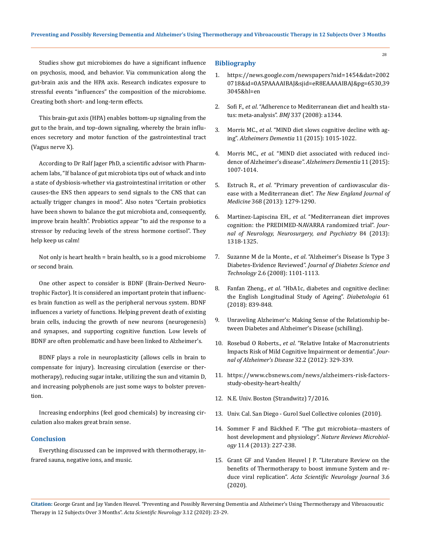Studies show gut microbiomes do have a significant influence on psychosis, mood, and behavior. Via communication along the gut-brain axis and the HPA axis. Research indicates exposure to stressful events "influences" the composition of the microbiome. Creating both short- and long-term effects.

This brain-gut axis (HPA) enables bottom-up signaling from the gut to the brain, and top-down signaling, whereby the brain influences secretory and motor function of the gastrointestinal tract (Vagus nerve X).

According to Dr Ralf Jager PhD, a scientific advisor with Pharmachem labs, "If balance of gut microbiota tips out of whack and into a state of dysbiosis-whether via gastrointestinal irritation or other causes-the ENS then appears to send signals to the CNS that can actually trigger changes in mood". Also notes "Certain probiotics have been shown to balance the gut microbiota and, consequently, improve brain health". Probiotics appear "to aid the response to a stressor by reducing levels of the stress hormone cortisol". They help keep us calm!

Not only is heart health = brain health, so is a good microbiome or second brain.

One other aspect to consider is BDNF (Brain-Derived Neurotrophic Factor). It is considered an important protein that influences brain function as well as the peripheral nervous system. BDNF influences a variety of functions. Helping prevent death of existing brain cells, inducing the growth of new neurons (neurogenesis) and synapses, and supporting cognitive function. Low levels of BDNF are often problematic and have been linked to Alzheimer's.

BDNF plays a role in neuroplasticity (allows cells in brain to compensate for injury). Increasing circulation (exercise or thermotherapy), reducing sugar intake, utilizing the sun and vitamin D, and increasing polyphenols are just some ways to bolster prevention.

Increasing endorphins (feel good chemicals) by increasing circulation also makes great brain sense.

### **Conclusion**

Everything discussed can be improved with thermotherapy, infrared sauna, negative ions, and music.

#### **Bibliography**

1. [https://news.google.com/newspapers?nid=1454&dat=2002](https://news.google.com/newspapers?nid=1454&dat=20020718&id=0A5PAAAAIBAJ&sjid=eR8EAAAAIBAJ&pg=6530,393045&hl=en) [0718&id=0A5PAAAAIBAJ&sjid=eR8EAAAAIBAJ&pg=6530,39](https://news.google.com/newspapers?nid=1454&dat=20020718&id=0A5PAAAAIBAJ&sjid=eR8EAAAAIBAJ&pg=6530,393045&hl=en) [3045&hl=en](https://news.google.com/newspapers?nid=1454&dat=20020718&id=0A5PAAAAIBAJ&sjid=eR8EAAAAIBAJ&pg=6530,393045&hl=en)

28

- 2. Sofi F., *et al*[. "Adherence to Mediterranean diet and health sta](https://www.bmj.com/content/337/bmj.a1344)tus: meta-analysis". *BMJ* [337 \(2008\): a1344.](https://www.bmj.com/content/337/bmj.a1344)
- 3. Morris MC., *et al*. "MIND diet slows cognitive decline with aging". *Alzheimers Dementia* 11 (2015): 1015-1022.
- 4. Morris MC., *et al*[. "MIND diet associated with reduced inci](https://www.ncbi.nlm.nih.gov/pmc/articles/PMC4532650/)[dence of Alzheimer's disease".](https://www.ncbi.nlm.nih.gov/pmc/articles/PMC4532650/) *Alzheimers Dementia* 11 (2015): [1007-1014.](https://www.ncbi.nlm.nih.gov/pmc/articles/PMC4532650/)
- 5. Estruch R., *et al*[. "Primary prevention of cardiovascular dis](https://www.nejm.org/doi/full/10.1056/NEJMoa1800389)[ease with a Mediterranean diet".](https://www.nejm.org/doi/full/10.1056/NEJMoa1800389) *The New England Journal of Medicine* [368 \(2013\): 1279-1290.](https://www.nejm.org/doi/full/10.1056/NEJMoa1800389)
- 6. Martinez-Lapiscina EH., *et al*[. "Mediterranean diet improves](https://pubmed.ncbi.nlm.nih.gov/23670794/)  [cognition: the PREDIMED-NAVARRA randomized trial".](https://pubmed.ncbi.nlm.nih.gov/23670794/) *Jour[nal of Neurology, Neurosurgery, and Psychiatry](https://pubmed.ncbi.nlm.nih.gov/23670794/)* 84 (2013): [1318-1325.](https://pubmed.ncbi.nlm.nih.gov/23670794/)
- 7. Suzanne M de la Monte., *et al*[. "Alzheimer's Disease Is Type 3](https://journals.sagepub.com/doi/abs/10.1177/193229680800200619)  Diabetes-Evidence Reviewed". *[Journal of Diabetes Science and](https://journals.sagepub.com/doi/abs/10.1177/193229680800200619) Technology* [2.6 \(2008\): 1101-1113.](https://journals.sagepub.com/doi/abs/10.1177/193229680800200619)
- 8. Fanfan Zheng., *et al*[. "HbA1c, diabetes and cognitive decline:](https://pubmed.ncbi.nlm.nih.gov/29368156/) [the English Longitudinal Study of Ageing".](https://pubmed.ncbi.nlm.nih.gov/29368156/) *Diabetologia* 61 [\(2018\): 839-848.](https://pubmed.ncbi.nlm.nih.gov/29368156/)
- 9. Unraveling Alzheimer's: Making Sense of the Relationship between Diabetes and Alzheimer's Disease (schilling).
- 10. Rosebud O Roberts., *et al*[. "Relative Intake of Macronutrients](https://pubmed.ncbi.nlm.nih.gov/22810099/) [Impacts Risk of Mild Cognitive Impairment or dementia".](https://pubmed.ncbi.nlm.nih.gov/22810099/) *Jour[nal of Alzheimer's Disease](https://pubmed.ncbi.nlm.nih.gov/22810099/)* 32.2 (2012): 329-339.
- 11. [https://www.cbsnews.com/news/alzheimers-risk-factors](https://www.cbsnews.com/news/alzheimers-risk-factors-study-obesity-heart-health/)[study-obesity-heart-health/](https://www.cbsnews.com/news/alzheimers-risk-factors-study-obesity-heart-health/)
- 12. N.E. Univ. Boston (Strandwitz) 7/2016.
- 13. Univ. Cal. San Diego Gurol Suel Collective colonies (2010).
- 14. [Sommer F and Bäckhed F. "The gut microbiota--masters of](https://www.nature.com/articles/nrmicro2974) [host development and physiology".](https://www.nature.com/articles/nrmicro2974) *Nature Reviews Microbiology* [11.4 \(2013\): 227-238.](https://www.nature.com/articles/nrmicro2974)
- 15. [Grant GF and Vanden Heuvel J P. "Literature Review on the](https://www.researchgate.net/publication/341871835_Literature_Review_on_the_Benefits_of_Thermotherapy_to_Boost_Immune_System_and_Reduce_Viral_Replication) [benefits of Thermotherapy to boost immune System and re](https://www.researchgate.net/publication/341871835_Literature_Review_on_the_Benefits_of_Thermotherapy_to_Boost_Immune_System_and_Reduce_Viral_Replication)duce viral replication". *[Acta Scientific Neurology Journal](https://www.researchgate.net/publication/341871835_Literature_Review_on_the_Benefits_of_Thermotherapy_to_Boost_Immune_System_and_Reduce_Viral_Replication)* 3.6 [\(2020\).](https://www.researchgate.net/publication/341871835_Literature_Review_on_the_Benefits_of_Thermotherapy_to_Boost_Immune_System_and_Reduce_Viral_Replication)